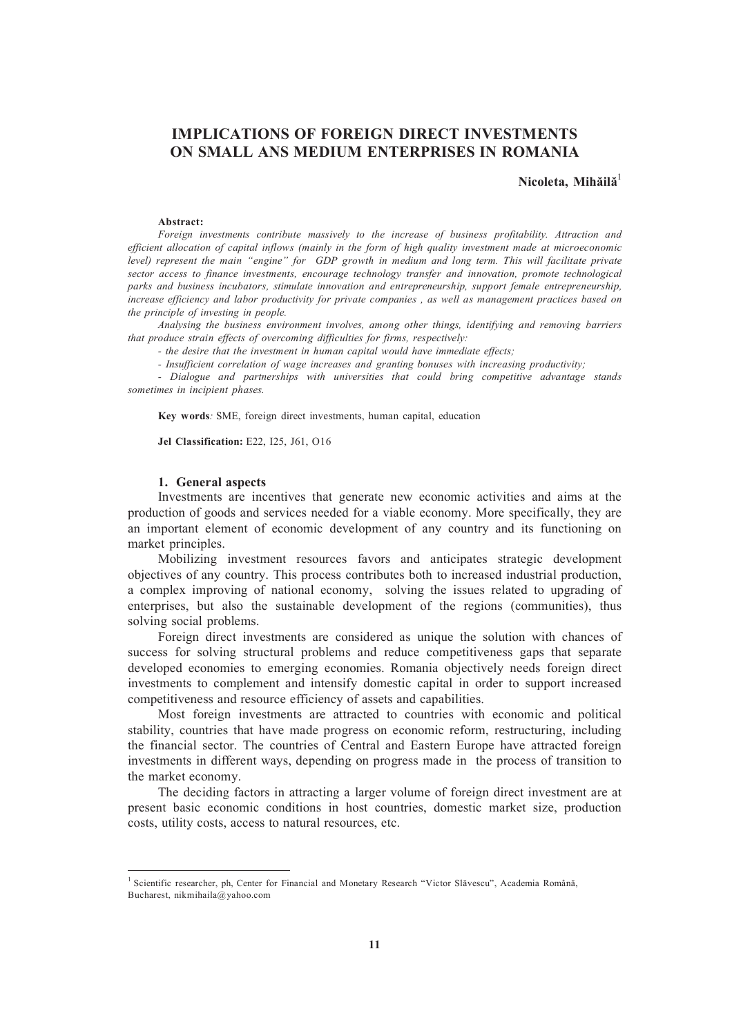# **IMPLICATIONS OF FOREIGN DIRECT INVESTMENTS ON SMALL ANS MEDIUM ENTERPRISES IN ROMANIA**

## **Nicoleta, Mihăilă** 1

#### **Abstract:**

*Foreign investments contribute massively to the increase of business profitability. Attraction and efficient allocation of capital inflows (mainly in the form of high quality investment made at microeconomic level) represent the main "engine" for GDP growth in medium and long term. This will facilitate private sector access to finance investments, encourage technology transfer and innovation, promote technological parks and business incubators, stimulate innovation and entrepreneurship, support female entrepreneurship, increase efficiency and labor productivity for private companies , as well as management practices based on the principle of investing in people.*

*Analysing the business environment involves, among other things, identifying and removing barriers that produce strain effects of overcoming difficulties for firms, respectively:*

*- the desire that the investment in human capital would have immediate effects;*

*- Insufficient correlation of wage increases and granting bonuses with increasing productivity;*

*- Dialogue and partnerships with universities that could bring competitive advantage stands sometimes in incipient phases.*

**Key words***:* SME, foreign direct investments, human capital, education

**Jel Classification:** E22, I25, J61, O16

#### **1. General aspects**

Investments are incentives that generate new economic activities and aims at the production of goods and services needed for a viable economy. More specifically, they are an important element of economic development of any country and its functioning on market principles.

Mobilizing investment resources favors and anticipates strategic development objectives of any country. This process contributes both to increased industrial production, a complex improving of national economy, solving the issues related to upgrading of enterprises, but also the sustainable development of the regions (communities), thus solving social problems.

Foreign direct investments are considered as unique the solution with chances of success for solving structural problems and reduce competitiveness gaps that separate developed economies to emerging economies. Romania objectively needs foreign direct investments to complement and intensify domestic capital in order to support increased competitiveness and resource efficiency of assets and capabilities.

Most foreign investments are attracted to countries with economic and political stability, countries that have made progress on economic reform, restructuring, including the financial sector. The countries of Central and Eastern Europe have attracted foreign investments in different ways, depending on progress made in the process of transition to the market economy.

The deciding factors in attracting a larger volume of foreign direct investment are at present basic economic conditions in host countries, domestic market size, production costs, utility costs, access to natural resources, etc.

<sup>&</sup>lt;sup>1</sup> Scientific researcher, ph, Center for Financial and Monetary Research "Victor Slăvescu", Academia Română, Bucharest, nikmihaila@yahoo.com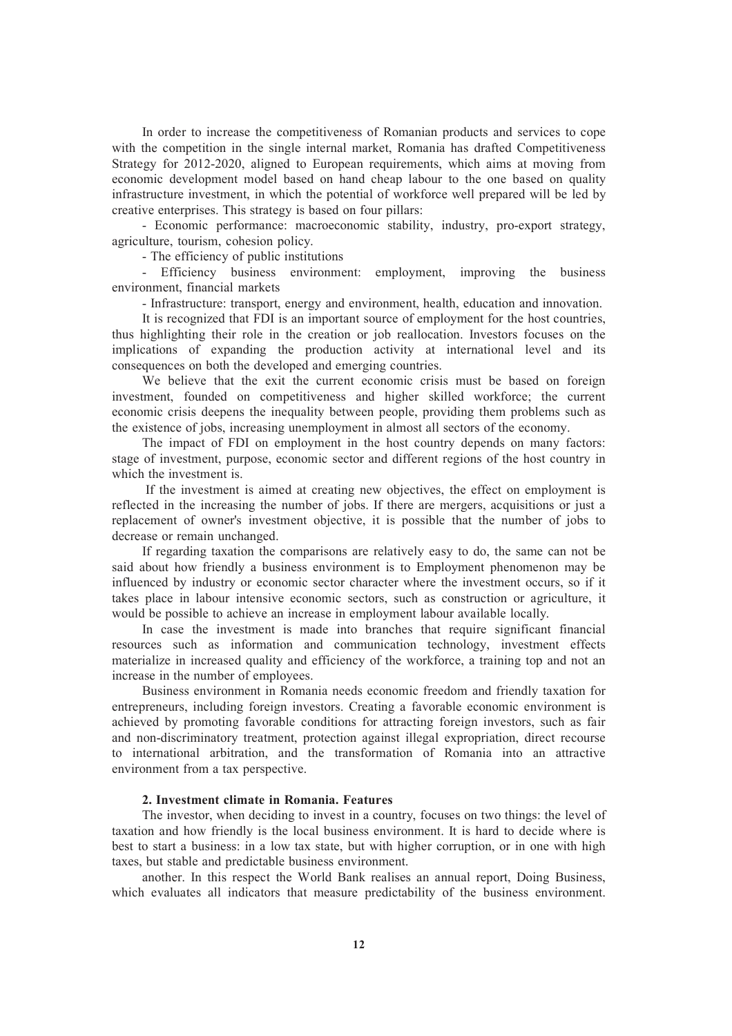In order to increase the competitiveness of Romanian products and services to cope with the competition in the single internal market, Romania has drafted Competitiveness Strategy for 2012-2020, aligned to European requirements, which aims at moving from economic development model based on hand cheap labour to the one based on quality infrastructure investment, in which the potential of workforce well prepared will be led by creative enterprises. This strategy is based on four pillars:

- Economic performance: macroeconomic stability, industry, pro-export strategy, agriculture, tourism, cohesion policy.

- The efficiency of public institutions

- Efficiency business environment: employment, improving the business environment, financial markets

- Infrastructure: transport, energy and environment, health, education and innovation.

It is recognized that FDI is an important source of employment for the host countries, thus highlighting their role in the creation or job reallocation. Investors focuses on the implications of expanding the production activity at international level and its consequences on both the developed and emerging countries.

We believe that the exit the current economic crisis must be based on foreign investment, founded on competitiveness and higher skilled workforce; the current economic crisis deepens the inequality between people, providing them problems such as the existence of jobs, increasing unemployment in almost all sectors of the economy.

The impact of FDI on employment in the host country depends on many factors: stage of investment, purpose, economic sector and different regions of the host country in which the investment is.

If the investment is aimed at creating new objectives, the effect on employment is reflected in the increasing the number of jobs. If there are mergers, acquisitions or just a replacement of owner's investment objective, it is possible that the number of jobs to decrease or remain unchanged.

If regarding taxation the comparisons are relatively easy to do, the same can not be said about how friendly a business environment is to Employment phenomenon may be influenced by industry or economic sector character where the investment occurs, so if it takes place in labour intensive economic sectors, such as construction or agriculture, it would be possible to achieve an increase in employment labour available locally.

In case the investment is made into branches that require significant financial resources such as information and communication technology, investment effects materialize in increased quality and efficiency of the workforce, a training top and not an increase in the number of employees.

Business environment in Romania needs economic freedom and friendly taxation for entrepreneurs, including foreign investors. Creating a favorable economic environment is achieved by promoting favorable conditions for attracting foreign investors, such as fair and non-discriminatory treatment, protection against illegal expropriation, direct recourse to international arbitration, and the transformation of Romania into an attractive environment from a tax perspective.

#### **2. Investment climate in Romania. Features**

The investor, when deciding to invest in a country, focuses on two things: the level of taxation and how friendly is the local business environment. It is hard to decide where is best to start a business: in a low tax state, but with higher corruption, or in one with high taxes, but stable and predictable business environment.

another. In this respect the World Bank realises an annual report, Doing Business, which evaluates all indicators that measure predictability of the business environment.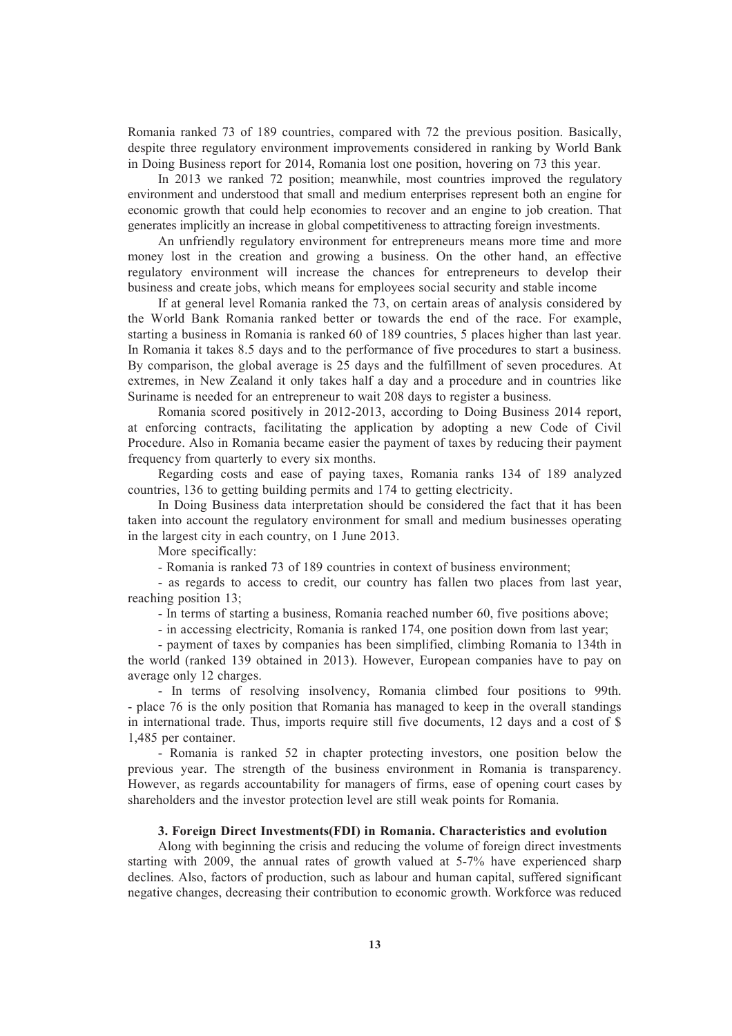Romania ranked 73 of 189 countries, compared with 72 the previous position. Basically, despite three regulatory environment improvements considered in ranking by World Bank in Doing Business report for 2014, Romania lost one position, hovering on 73 this year.

In 2013 we ranked 72 position; meanwhile, most countries improved the regulatory environment and understood that small and medium enterprises represent both an engine for economic growth that could help economies to recover and an engine to job creation. That generates implicitly an increase in global competitiveness to attracting foreign investments.

An unfriendly regulatory environment for entrepreneurs means more time and more money lost in the creation and growing a business. On the other hand, an effective regulatory environment will increase the chances for entrepreneurs to develop their business and create jobs, which means for employees social security and stable income

If at general level Romania ranked the 73, on certain areas of analysis considered by the World Bank Romania ranked better or towards the end of the race. For example, starting a business in Romania is ranked 60 of 189 countries, 5 places higher than last year. In Romania it takes 8.5 days and to the performance of five procedures to start a business. By comparison, the global average is 25 days and the fulfillment of seven procedures. At extremes, in New Zealand it only takes half a day and a procedure and in countries like Suriname is needed for an entrepreneur to wait 208 days to register a business.

Romania scored positively in 2012-2013, according to Doing Business 2014 report, at enforcing contracts, facilitating the application by adopting a new Code of Civil Procedure. Also in Romania became easier the payment of taxes by reducing their payment frequency from quarterly to every six months.

Regarding costs and ease of paying taxes, Romania ranks 134 of 189 analyzed countries, 136 to getting building permits and 174 to getting electricity.

In Doing Business data interpretation should be considered the fact that it has been taken into account the regulatory environment for small and medium businesses operating in the largest city in each country, on 1 June 2013.

More specifically:

- Romania is ranked 73 of 189 countries in context of business environment;

- as regards to access to credit, our country has fallen two places from last year, reaching position 13;

- In terms of starting a business, Romania reached number 60, five positions above;

- in accessing electricity, Romania is ranked 174, one position down from last year;

- payment of taxes by companies has been simplified, climbing Romania to 134th in the world (ranked 139 obtained in 2013). However, European companies have to pay on average only 12 charges.

- In terms of resolving insolvency, Romania climbed four positions to 99th. - place 76 is the only position that Romania has managed to keep in the overall standings in international trade. Thus, imports require still five documents, 12 days and a cost of \$ 1,485 per container.

- Romania is ranked 52 in chapter protecting investors, one position below the previous year. The strength of the business environment in Romania is transparency. However, as regards accountability for managers of firms, ease of opening court cases by shareholders and the investor protection level are still weak points for Romania.

### **3. Foreign Direct Investments(FDI) in Romania. Characteristics and evolution**

Along with beginning the crisis and reducing the volume of foreign direct investments starting with 2009, the annual rates of growth valued at 5-7% have experienced sharp declines. Also, factors of production, such as labour and human capital, suffered significant negative changes, decreasing their contribution to economic growth. Workforce was reduced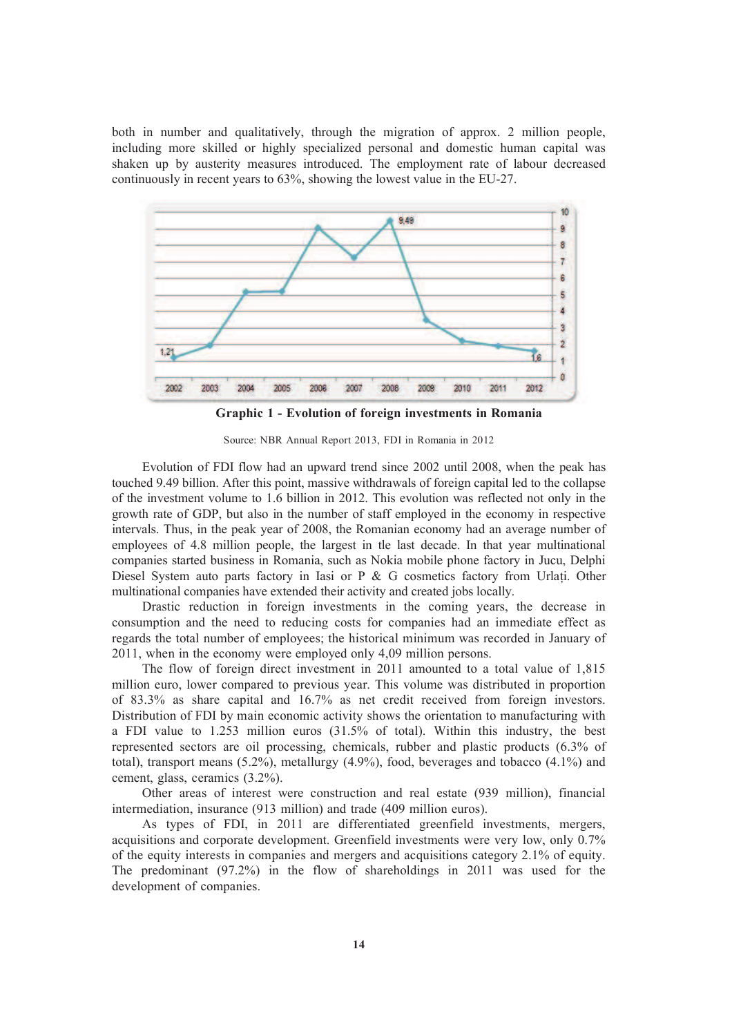both in number and qualitatively, through the migration of approx. 2 million people, including more skilled or highly specialized personal and domestic human capital was shaken up by austerity measures introduced. The employment rate of labour decreased continuously in recent years to 63%, showing the lowest value in the EU-27.



**Graphic 1 - Evolution of foreign investments in Romania**

Source: NBR Annual Report 2013, FDI in Romania in 2012

Evolution of FDI flow had an upward trend since 2002 until 2008, when the peak has touched 9.49 billion. After this point, massive withdrawals of foreign capital led to the collapse of the investment volume to 1.6 billion in 2012. This evolution was reflected not only in the growth rate of GDP, but also in the number of staff employed in the economy in respective intervals. Thus, in the peak year of 2008, the Romanian economy had an average number of employees of 4.8 million people, the largest in tle last decade. In that year multinational companies started business in Romania, such as Nokia mobile phone factory in Jucu, Delphi Diesel System auto parts factory in Iasi or P  $\&$  G cosmetics factory from Urlati. Other multinational companies have extended their activity and created jobs locally.

Drastic reduction in foreign investments in the coming years, the decrease in consumption and the need to reducing costs for companies had an immediate effect as regards the total number of employees; the historical minimum was recorded in January of 2011, when in the economy were employed only 4,09 million persons.

The flow of foreign direct investment in 2011 amounted to a total value of 1,815 million euro, lower compared to previous year. This volume was distributed in proportion of 83.3% as share capital and 16.7% as net credit received from foreign investors. Distribution of FDI by main economic activity shows the orientation to manufacturing with a FDI value to 1.253 million euros (31.5% of total). Within this industry, the best represented sectors are oil processing, chemicals, rubber and plastic products (6.3% of total), transport means (5.2%), metallurgy (4.9%), food, beverages and tobacco (4.1%) and cement, glass, ceramics (3.2%).

Other areas of interest were construction and real estate (939 million), financial intermediation, insurance (913 million) and trade (409 million euros).

As types of FDI, in 2011 are differentiated greenfield investments, mergers, acquisitions and corporate development. Greenfield investments were very low, only 0.7% of the equity interests in companies and mergers and acquisitions category 2.1% of equity. The predominant (97.2%) in the flow of shareholdings in 2011 was used for the development of companies.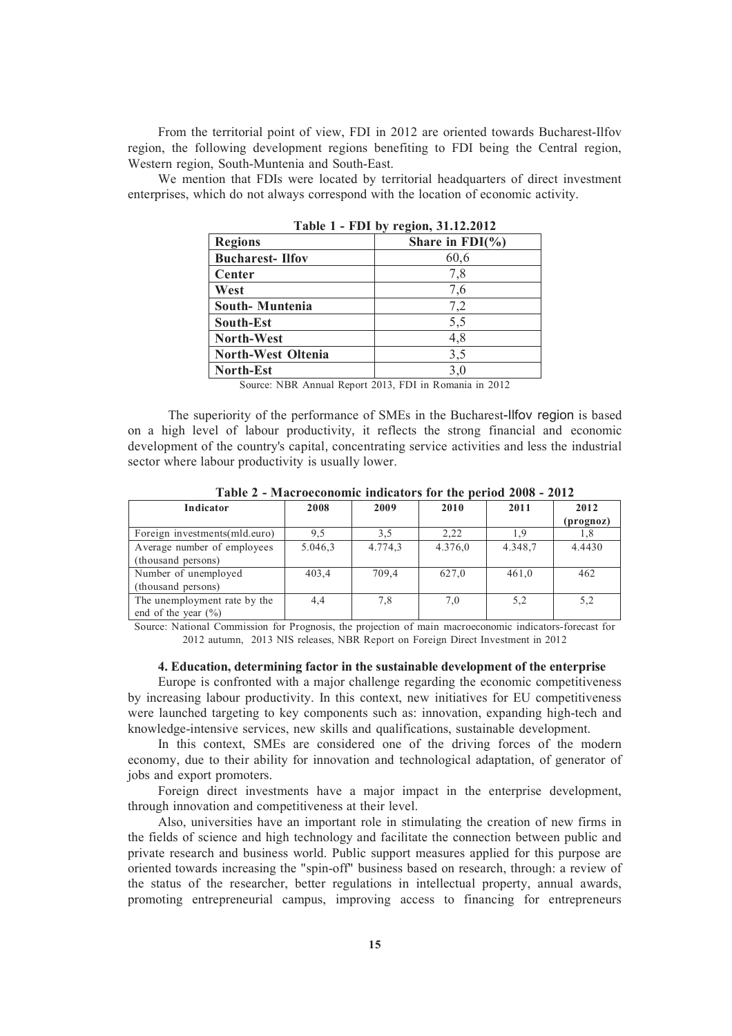From the territorial point of view, FDI in 2012 are oriented towards Bucharest-Ilfov region, the following development regions benefiting to FDI being the Central region, Western region, South-Muntenia and South-East.

We mention that FDIs were located by territorial headquarters of direct investment enterprises, which do not always correspond with the location of economic activity.

| $1400C$ $1 - 1210C$ $9$ $1C$ $100C$ $1.120C$ |                     |  |  |  |
|----------------------------------------------|---------------------|--|--|--|
| <b>Regions</b>                               | Share in $FDI(\% )$ |  |  |  |
| <b>Bucharest-Ilfov</b>                       | 60,6                |  |  |  |
| Center                                       | 7,8                 |  |  |  |
| West                                         | 7,6                 |  |  |  |
| South-Muntenia                               | 7,2                 |  |  |  |
| South-Est                                    | 5,5                 |  |  |  |
| <b>North-West</b>                            | 4,8                 |  |  |  |
| <b>North-West Oltenia</b>                    | 3,5                 |  |  |  |
| <b>North-Est</b>                             | 3,0                 |  |  |  |

**Table 1 - FDI by region, 31.12.2012**

Source: NBR Annual Report 2013, FDI in Romania in 2012

The superiority of the performance of SMEs in the Bucharest-Ilfov region is based on a high level of labour productivity, it reflects the strong financial and economic development of the country's capital, concentrating service activities and less the industrial sector where labour productivity is usually lower.

| Indicator                      | 2008    | 2009    | 2010    | 2011    | 2012      |
|--------------------------------|---------|---------|---------|---------|-----------|
|                                |         |         |         |         | (prognoz) |
| Foreign investments (mld.euro) | 9.5     | 3,5     | 2.22    | 1.9     | 1.8       |
| Average number of employees    | 5.046,3 | 4.774,3 | 4.376,0 | 4.348.7 | 4.4430    |
| (thousand persons)             |         |         |         |         |           |
| Number of unemployed           | 403.4   | 709,4   | 627,0   | 461,0   | 462       |
| (thousand persons)             |         |         |         |         |           |
| The unemployment rate by the   | 4,4     | 7,8     | 7,0     | 5,2     | 5,2       |
| end of the year $(\% )$        |         |         |         |         |           |

**Table 2 - Macroeconomic indicators for the period 2008 - 2012**

Source: National Commission for Prognosis, the projection of main macroeconomic indicators-forecast for 2012 autumn, 2013 NIS releases, NBR Report on Foreign Direct Investment in 2012

### **4. Education, determining factor in the sustainable development of the enterprise**

Europe is confronted with a major challenge regarding the economic competitiveness by increasing labour productivity. In this context, new initiatives for EU competitiveness were launched targeting to key components such as: innovation, expanding high-tech and knowledge-intensive services, new skills and qualifications, sustainable development.

In this context, SMEs are considered one of the driving forces of the modern economy, due to their ability for innovation and technological adaptation, of generator of jobs and export promoters.

Foreign direct investments have a major impact in the enterprise development, through innovation and competitiveness at their level.

Also, universities have an important role in stimulating the creation of new firms in the fields of science and high technology and facilitate the connection between public and private research and business world. Public support measures applied for this purpose are oriented towards increasing the "spin-off" business based on research, through: a review of the status of the researcher, better regulations in intellectual property, annual awards, promoting entrepreneurial campus, improving access to financing for entrepreneurs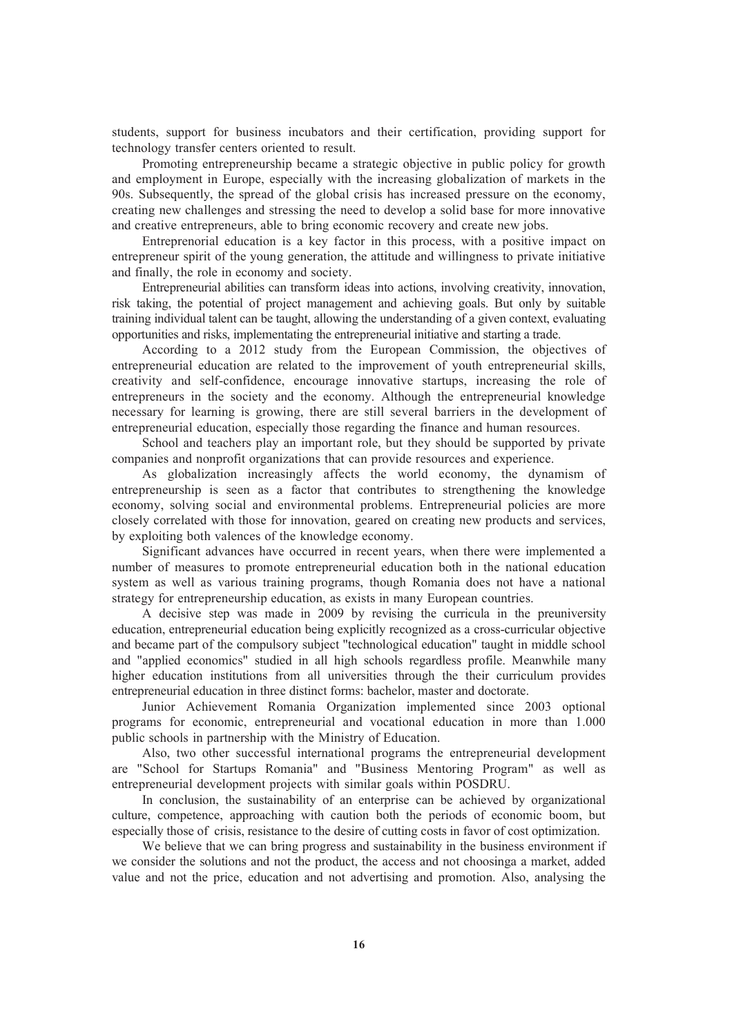students, support for business incubators and their certification, providing support for technology transfer centers oriented to result.

Promoting entrepreneurship became a strategic objective in public policy for growth and employment in Europe, especially with the increasing globalization of markets in the 90s. Subsequently, the spread of the global crisis has increased pressure on the economy, creating new challenges and stressing the need to develop a solid base for more innovative and creative entrepreneurs, able to bring economic recovery and create new jobs.

Entreprenorial education is a key factor in this process, with a positive impact on entrepreneur spirit of the young generation, the attitude and willingness to private initiative and finally, the role in economy and society.

Entrepreneurial abilities can transform ideas into actions, involving creativity, innovation, risk taking, the potential of project management and achieving goals. But only by suitable training individual talent can be taught, allowing the understanding of a given context, evaluating opportunities and risks, implementating the entrepreneurial initiative and starting a trade.

According to a 2012 study from the European Commission, the objectives of entrepreneurial education are related to the improvement of youth entrepreneurial skills, creativity and self-confidence, encourage innovative startups, increasing the role of entrepreneurs in the society and the economy. Although the entrepreneurial knowledge necessary for learning is growing, there are still several barriers in the development of entrepreneurial education, especially those regarding the finance and human resources.

School and teachers play an important role, but they should be supported by private companies and nonprofit organizations that can provide resources and experience.

As globalization increasingly affects the world economy, the dynamism of entrepreneurship is seen as a factor that contributes to strengthening the knowledge economy, solving social and environmental problems. Entrepreneurial policies are more closely correlated with those for innovation, geared on creating new products and services, by exploiting both valences of the knowledge economy.

Significant advances have occurred in recent years, when there were implemented a number of measures to promote entrepreneurial education both in the national education system as well as various training programs, though Romania does not have a national strategy for entrepreneurship education, as exists in many European countries.

A decisive step was made in 2009 by revising the curricula in the preuniversity education, entrepreneurial education being explicitly recognized as a cross-curricular objective and became part of the compulsory subject "technological education" taught in middle school and "applied economics" studied in all high schools regardless profile. Meanwhile many higher education institutions from all universities through the their curriculum provides entrepreneurial education in three distinct forms: bachelor, master and doctorate.

Junior Achievement Romania Organization implemented since 2003 optional programs for economic, entrepreneurial and vocational education in more than 1.000 public schools in partnership with the Ministry of Education.

Also, two other successful international programs the entrepreneurial development are "School for Startups Romania" and "Business Mentoring Program" as well as entrepreneurial development projects with similar goals within POSDRU.

In conclusion, the sustainability of an enterprise can be achieved by organizational culture, competence, approaching with caution both the periods of economic boom, but especially those of crisis, resistance to the desire of cutting costs in favor of cost optimization.

We believe that we can bring progress and sustainability in the business environment if we consider the solutions and not the product, the access and not choosinga a market, added value and not the price, education and not advertising and promotion. Also, analysing the